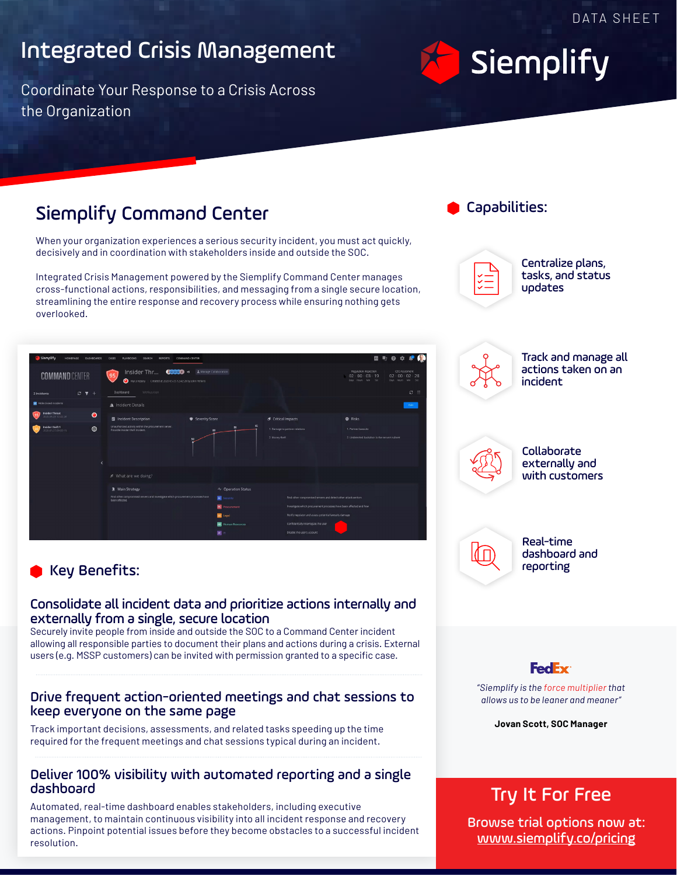## Integrated Crisis Management

Coordinate Your Response to a Crisis Across the Organization

## Siemplify Command Center

When your organization experiences a serious security incident, you must act quickly, decisively and in coordination with stakeholders inside and outside the SOC.

Integrated Crisis Management powered by the Siemplify Command Center manages cross-functional actions, responsibilities, and messaging from a single secure location, streamlining the entire response and recovery process while ensuring nothing gets overlooked.



### Key Benefits:

#### Consolidate all incident data and prioritize actions internally and externally from a single, secure location

Securely invite people from inside and outside the SOC to a Command Center incident allowing all responsible parties to document their plans and actions during a crisis. External users (e.g. MSSP customers) can be invited with permission granted to a specific case.

### Drive frequent action-oriented meetings and chat sessions to keep everyone on the same page

Track important decisions, assessments, and related tasks speeding up the time required for the frequent meetings and chat sessions typical during an incident.

### Deliver 100% visibility with automated reporting and a single dashboard

Automated, real-time dashboard enables stakeholders, including executive management, to maintain continuous visibility into all incident response and recovery actions. Pinpoint potential issues before they become obstacles to a successful incident resolution.



**Siemplify** 



Centralize plans, tasks, and status updates



Track and manage all actions taken on an incident



Collaborate externally and with customers

(∣П

Real-time dashboard and reporting

**FedEx** *"Siemplify is the force multiplier that allows us to be leaner and meaner"*

**Jovan Scott, SOC Manager**

### Try It For Free

Browse trial options [now at:](https://www.siemplify.co/pricing/) [www.siemplify.co/](https://www.siemplify.co/pricing/)pricing